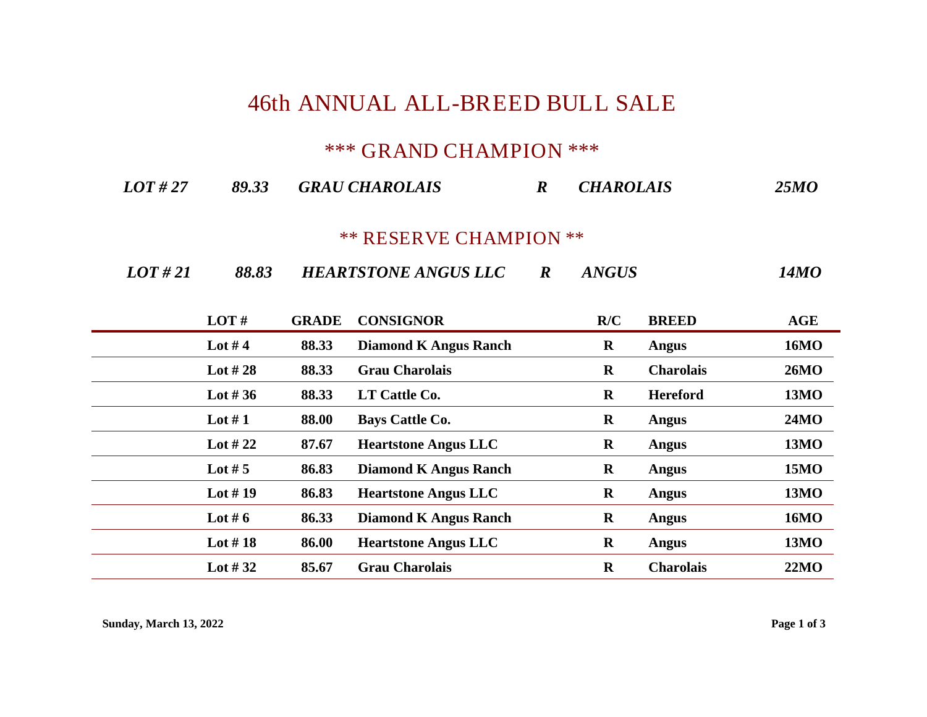## **46th ANNUAL ALL-BREED BULL SALE**

## **\*\*\* GRAND CHAMPION \*\*\***

| LOT#27<br>89.33 | <b>GRAU CHAROLAIS</b> | <b>CHAROLAIS</b> | <b>25MO</b> |
|-----------------|-----------------------|------------------|-------------|
|-----------------|-----------------------|------------------|-------------|

## **\*\* RESERVE CHAMPION \*\***

| LOT#21 | 88.83 | <b>HEARTSTONE ANGUS LLC</b> |  | <b>ANGUS</b> | 14MO |
|--------|-------|-----------------------------|--|--------------|------|
|--------|-------|-----------------------------|--|--------------|------|

| LOT#       | <b>GRADE</b> | <b>CONSIGNOR</b>             | R/C         | <b>BREED</b>     | AGE         |
|------------|--------------|------------------------------|-------------|------------------|-------------|
| Lot #4     | 88.33        | <b>Diamond K Angus Ranch</b> | $\bf R$     | Angus            | <b>16MO</b> |
| Lot $#28$  | 88.33        | <b>Grau Charolais</b>        | $\mathbf R$ | <b>Charolais</b> | <b>26MO</b> |
| Lot #36    | 88.33        | LT Cattle Co.                | $\mathbf R$ | <b>Hereford</b>  | <b>13MO</b> |
| Lot $#1$   | 88.00        | <b>Bays Cattle Co.</b>       | $\bf R$     | Angus            | <b>24MO</b> |
| Lot #22    | 87.67        | <b>Heartstone Angus LLC</b>  | $\bf R$     | Angus            | <b>13MO</b> |
| Lot $# 5$  | 86.83        | <b>Diamond K Angus Ranch</b> | $\bf R$     | Angus            | <b>15MO</b> |
| Lot $# 19$ | 86.83        | <b>Heartstone Angus LLC</b>  | $\bf R$     | Angus            | <b>13MO</b> |
| Lot #6     | 86.33        | <b>Diamond K Angus Ranch</b> | $\bf R$     | Angus            | <b>16MO</b> |
| Lot $#18$  | 86.00        | <b>Heartstone Angus LLC</b>  | $\mathbf R$ | Angus            | <b>13MO</b> |
| Lot #32    | 85.67        | <b>Grau Charolais</b>        | $\mathbf R$ | <b>Charolais</b> | 22MO        |

**Sunday, March 13, 2022 Page 1 of 3**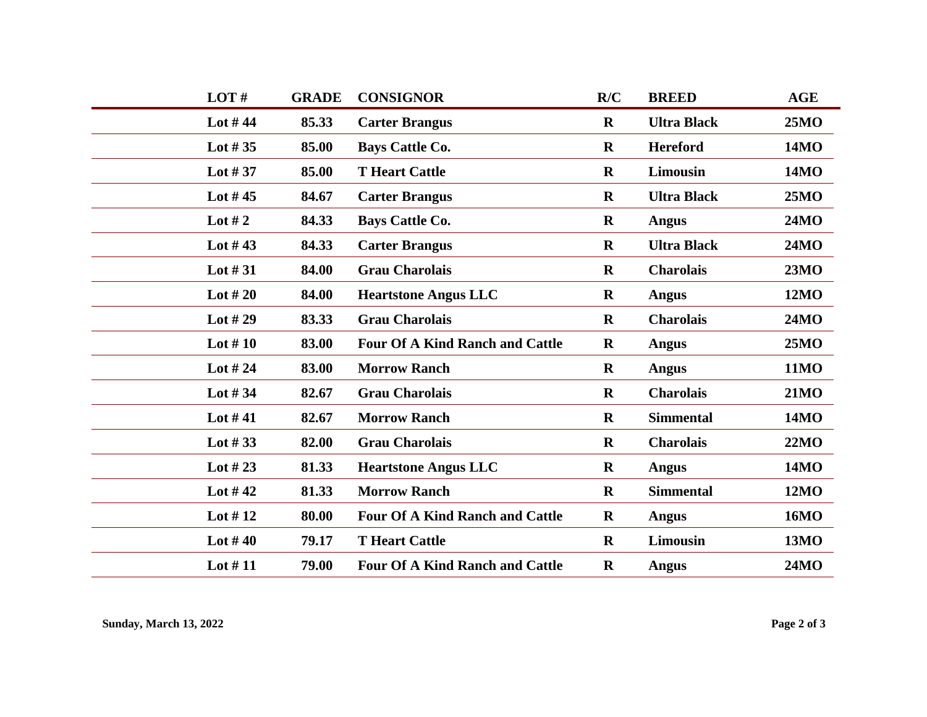| LOT#       | <b>GRADE</b> | <b>CONSIGNOR</b>                       | R/C         | <b>BREED</b>       | <b>AGE</b>  |
|------------|--------------|----------------------------------------|-------------|--------------------|-------------|
| Lot $#44$  | 85.33        | <b>Carter Brangus</b>                  | $\mathbf R$ | <b>Ultra Black</b> | 25MO        |
| Lot $#35$  | 85.00        | <b>Bays Cattle Co.</b>                 | $\mathbf R$ | <b>Hereford</b>    | <b>14MO</b> |
| Lot $#37$  | 85.00        | <b>T</b> Heart Cattle                  | $\mathbf R$ | Limousin           | <b>14MO</b> |
| Lot $#45$  | 84.67        | <b>Carter Brangus</b>                  | $\mathbf R$ | <b>Ultra Black</b> | <b>25MO</b> |
| Lot #2     | 84.33        | <b>Bays Cattle Co.</b>                 | $\mathbf R$ | <b>Angus</b>       | <b>24MO</b> |
| Lot $#43$  | 84.33        | <b>Carter Brangus</b>                  | $\mathbf R$ | <b>Ultra Black</b> | <b>24MO</b> |
| Lot $\#31$ | 84.00        | <b>Grau Charolais</b>                  | $\mathbf R$ | <b>Charolais</b>   | 23MO        |
| Lot $#20$  | 84.00        | <b>Heartstone Angus LLC</b>            | $\bf R$     | <b>Angus</b>       | <b>12MO</b> |
| Lot $#29$  | 83.33        | <b>Grau Charolais</b>                  | $\mathbf R$ | <b>Charolais</b>   | <b>24MO</b> |
| Lot $#10$  | 83.00        | <b>Four Of A Kind Ranch and Cattle</b> | $\mathbf R$ | <b>Angus</b>       | 25MO        |
| Lot $#24$  | 83.00        | <b>Morrow Ranch</b>                    | $\mathbf R$ | <b>Angus</b>       | <b>11MO</b> |
| Lot $#34$  | 82.67        | <b>Grau Charolais</b>                  | $\mathbf R$ | <b>Charolais</b>   | <b>21MO</b> |
| Lot $#41$  | 82.67        | <b>Morrow Ranch</b>                    | $\mathbf R$ | <b>Simmental</b>   | <b>14MO</b> |
| Lot $#33$  | 82.00        | <b>Grau Charolais</b>                  | $\mathbf R$ | <b>Charolais</b>   | 22MO        |
| Lot $#23$  | 81.33        | <b>Heartstone Angus LLC</b>            | $\mathbf R$ | <b>Angus</b>       | <b>14MO</b> |
| Lot $#42$  | 81.33        | <b>Morrow Ranch</b>                    | $\mathbf R$ | <b>Simmental</b>   | <b>12MO</b> |
| Lot $#12$  | 80.00        | <b>Four Of A Kind Ranch and Cattle</b> | $\mathbf R$ | <b>Angus</b>       | <b>16MO</b> |
| Lot $#40$  | 79.17        | <b>T</b> Heart Cattle                  | $\mathbf R$ | <b>Limousin</b>    | <b>13MO</b> |
| Lot $#11$  | 79.00        | <b>Four Of A Kind Ranch and Cattle</b> | $\mathbf R$ | <b>Angus</b>       | <b>24MO</b> |
|            |              |                                        |             |                    |             |